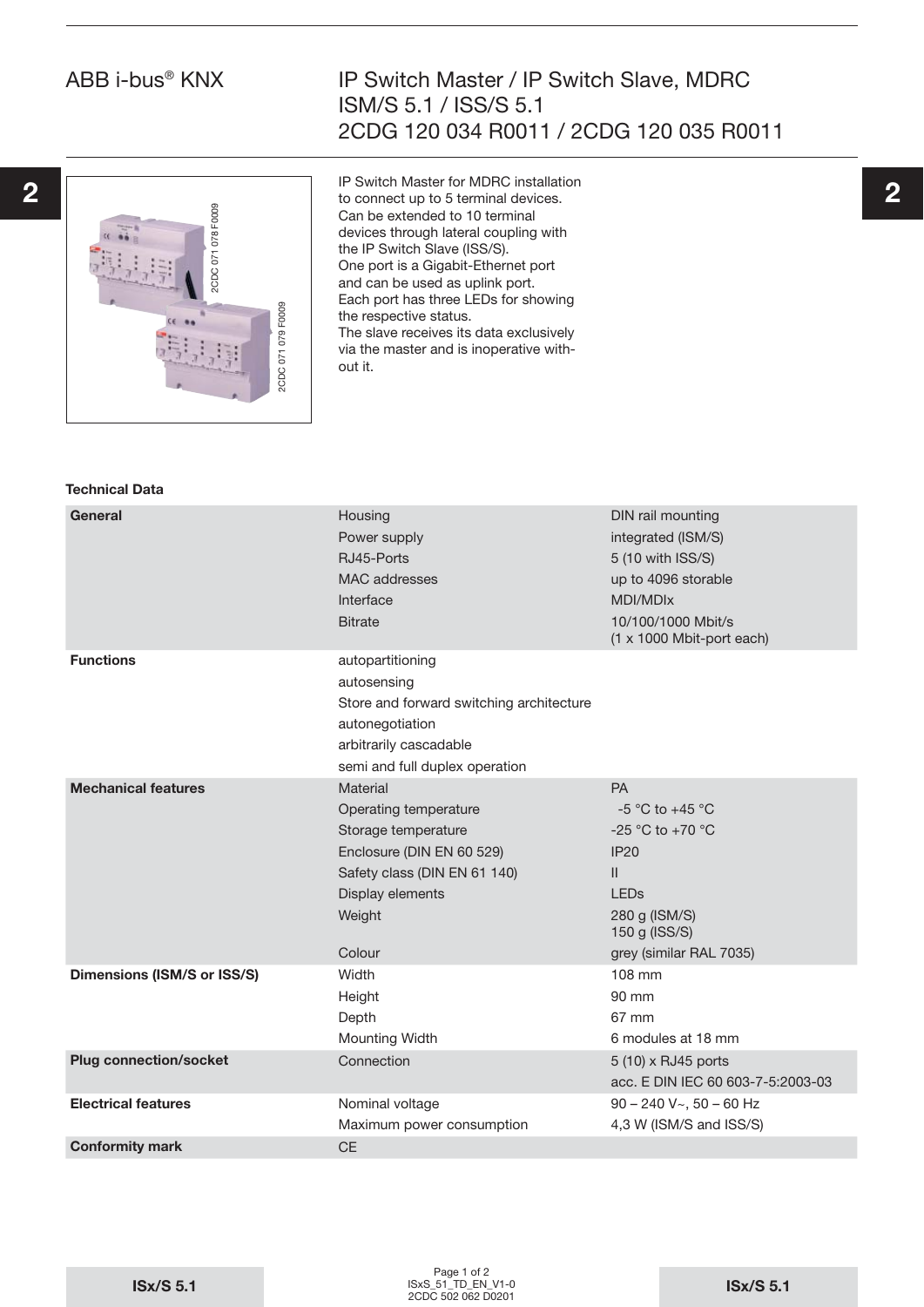## ABB i-bus® KNX

## IP Switch Master / IP Switch Slave, MDRC ISM/S 5.1 / ISS/S 5.1 2CDG 120 034 R0011 / 2CDG 120 035 R0011



IP Switch Master for MDRC installation Can be extended to 10 terminal devices through lateral coupling with the IP Switch Slave (ISS/S). One port is a Gigabit-Ethernet port and can be used as uplink port. Each port has three LEDs for showing the respective status. The slave receives its data exclusively via the master and is inoperative without it.

#### **Technical Data**

| 2CDC 071 078 F0009<br>2CDC 071 079 F0009<br><b>Technical Data</b> | Can be extended to 10 terminal<br>devices through lateral coupling with<br>the IP Switch Slave (ISS/S).<br>One port is a Gigabit-Ethernet port<br>and can be used as uplink port.<br>Each port has three LEDs for showing<br>the respective status.<br>The slave receives its data exclusively<br>via the master and is inoperative with-<br>out it. |                                                                                                                                                           |
|-------------------------------------------------------------------|------------------------------------------------------------------------------------------------------------------------------------------------------------------------------------------------------------------------------------------------------------------------------------------------------------------------------------------------------|-----------------------------------------------------------------------------------------------------------------------------------------------------------|
|                                                                   |                                                                                                                                                                                                                                                                                                                                                      |                                                                                                                                                           |
| General                                                           | Housing<br>Power supply<br>RJ45-Ports<br><b>MAC</b> addresses<br>Interface<br><b>Bitrate</b>                                                                                                                                                                                                                                                         | DIN rail mounting<br>integrated (ISM/S)<br>5 (10 with ISS/S)<br>up to 4096 storable<br><b>MDI/MDIx</b><br>10/100/1000 Mbit/s<br>(1 x 1000 Mbit-port each) |
| <b>Functions</b>                                                  | autopartitioning<br>autosensing<br>Store and forward switching architecture<br>autonegotiation<br>arbitrarily cascadable<br>semi and full duplex operation                                                                                                                                                                                           |                                                                                                                                                           |
| <b>Mechanical features</b>                                        | Material<br>Operating temperature<br>Storage temperature<br>Enclosure (DIN EN 60 529)<br>Safety class (DIN EN 61 140)<br>Display elements<br>Weight<br>Colour                                                                                                                                                                                        | PA<br>-5 °C to +45 °C<br>-25 °C to +70 °C<br><b>IP20</b><br>$\mathbf{II}$<br><b>LEDs</b><br>280 g (ISM/S)<br>150 g (ISS/S)<br>grey (similar RAL 7035)     |
| Dimensions (ISM/S or ISS/S)                                       | Width<br>Height<br>Depth<br><b>Mounting Width</b>                                                                                                                                                                                                                                                                                                    | 108 mm<br>90 mm<br>67 mm<br>6 modules at 18 mm                                                                                                            |
| <b>Plug connection/socket</b>                                     | Connection                                                                                                                                                                                                                                                                                                                                           | 5 (10) x RJ45 ports<br>acc. E DIN IEC 60 603-7-5:2003-03                                                                                                  |
| <b>Electrical features</b>                                        | Nominal voltage<br>Maximum power consumption                                                                                                                                                                                                                                                                                                         | $90 - 240$ V $\sim$ , 50 - 60 Hz<br>4,3 W (ISM/S and ISS/S)                                                                                               |
| <b>Conformity mark</b>                                            | <b>CE</b>                                                                                                                                                                                                                                                                                                                                            |                                                                                                                                                           |